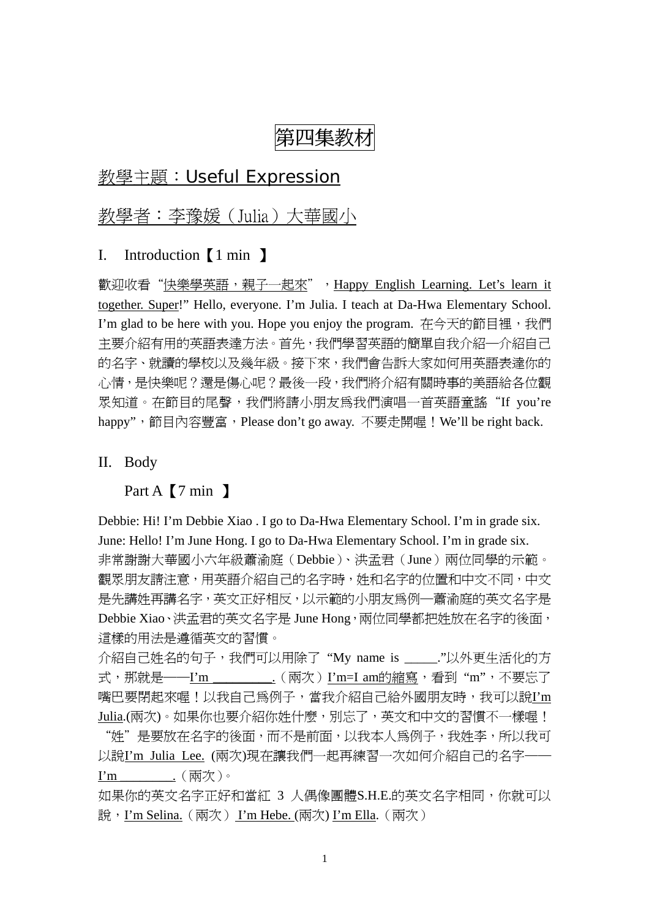# 第四集教材

## 教學主題:Useful Expression

## 教學者:李豫媛(Julia)大華國小

#### I. Introduction【1 min 】

歡迎收看"快樂學英語,親子一起來",Happy English Learning. Let's learn it together. Super!" Hello, everyone. I'm Julia. I teach at Da-Hwa Elementary School. I'm glad to be here with you. Hope you enjoy the program. 在今天的節目裡, 我們 主要介紹有用的英語表達方法。首先,我們學習英語的簡單自我介紹─介紹自己 的名字、就讀的學校以及幾年級。接下來,我們會告訴大家如何用英語表達你的 心情,是快樂呢?還是傷心呢?最後一段,我們將介紹有關時事的美語給各位觀 眾知道。在節目的尾聲,我們將請小朋友為我們演唱一首英語童謠"If you're happy", 節目內容豐富, Please don't go away. 不要走開喔! We'll be right back.

II. Body

Part A **[**7 min ]

Debbie: Hi! I'm Debbie Xiao . I go to Da-Hwa Elementary School. I'm in grade six. June: Hello! I'm June Hong. I go to Da-Hwa Elementary School. I'm in grade six. 非常謝謝大華國小六年級蕭渝庭(Debbie)、洪孟君(June)兩位同學的示範。 觀眾朋友請注意,用英語介紹自己的名字時,姓和名字的位置和中文不同,中文 是先講姓再講名字,英文正好相反,以示範的小朋友為例—蕭渝庭的英文名字是 Debbie Xiao、洪孟君的英文名字是 June Hong, 兩位同學都把姓放在名字的後面, 這樣的用法是遵循英文的習慣。

介紹自己姓名的句子,我們可以用除了"My name is \_\_\_\_\_. "以外更生活化的方 式, 那就是——I'm \_\_\_\_\_\_\_\_\_.(兩次) I'm=I am的縮寫, 看到 "m", 不要忘了 嘴巴要閉起來喔!以我自己為例子,當我介紹自己給外國朋友時,我可以說I'm Julia.(兩次)。如果你也要介紹你姓什麼,別忘了,英文和中文的習慣不一樣喔! "姓"是要放在名字的後面,而不是前面,以我本人為例子,我姓李,所以我可 以說I'm Julia Lee. (兩次)現在讓我們一起再練習一次如何介紹自己的名字——

I'm \_\_\_\_\_\_\_\_. (兩次)。

如果你的英文名字正好和當紅 3 人偶像團體S.H.E.的英文名字相同,你就可以 說, I'm Selina. (兩次) I'm Hebe. (兩次) I'm Ella. (兩次)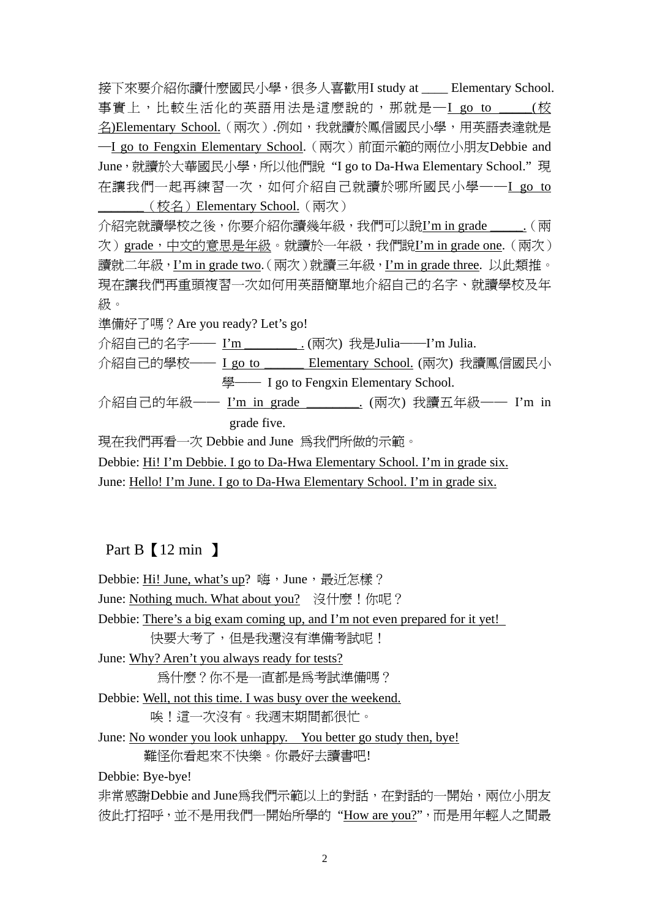接下來要介紹你讀什麼國民小學,很多人喜歡用I study at \_\_\_\_ Elementary School. 事實上,比較生活化的英語用法是這麼說的,那就是一I go to \_\_\_\_\_(校 名)Elementary School.(兩次).例如,我就讀於鳳信國民小學,用英語表達就是 ─I go to Fengxin Elementary School.(兩次)前面示範的兩位小朋友Debbie and June,就讀於大華國民小學,所以他們說 "I go to Da-Hwa Elementary School." 現 在讓我們一起再練習一次,如何介紹自己就讀於哪所國民小學——I go to \_\_\_\_\_\_\_(校名)Elementary School.(兩次)

介紹完就讀學校之後,你要介紹你讀幾年級,我們可以說I'm in grade \_\_\_\_.(兩 次) grade,中文的意思是年級。就讀於一年級,我們說I'm in grade one. (兩次) 讀就二年級, I'm in grade two. (兩次) 就讀三年級, I'm in grade three. 以此類推。 現在讓我們再重頭複習一次如何用英語簡單地介紹自己的名字、就讀學校及年 級。

準備好了嗎?Are you ready? Let's go!

介紹自己的名字—— I'm \_\_\_\_\_\_\_\_ . (兩次) 我是Julia——I'm Julia.

介紹自己的學校── I go to \_\_\_\_\_\_ Elementary School. (兩次) 我讀鳳信國民小 學—— I go to Fengxin Elementary School.

介紹自己的年級── I'm in grade \_\_\_\_\_\_\_\_. (兩次) 我讀五年級── I'm in grade five.

現在我們再看一次 Debbie and June 為我們所做的示範。

Debbie: Hi! I'm Debbie. I go to Da-Hwa Elementary School. I'm in grade six.

June: Hello! I'm June. I go to Da-Hwa Elementary School. I'm in grade six.

## Part B 【12 min 】

Debbie: Hi! June, what's up? 嗨, June, 最沂怎樣? June: Nothing much. What about you? 沒什麼!你呢? Debbie: There's a big exam coming up, and I'm not even prepared for it yet! 快要大考了,但是我還沒有準備考試呢! June: Why? Aren't you always ready for tests? 為什麼?你不是一直都是為考試準備嗎? Debbie: Well, not this time. I was busy over the weekend. 唉!這一次沒有。我週末期間都很忙。 June: No wonder you look unhappy. You better go study then, bye! 難怪你看起來不快樂。你最好去讀書吧! Debbie: Bye-bye! 非常感謝Debbie and June為我們示範以上的對話, 在對話的一開始, 兩位小朋友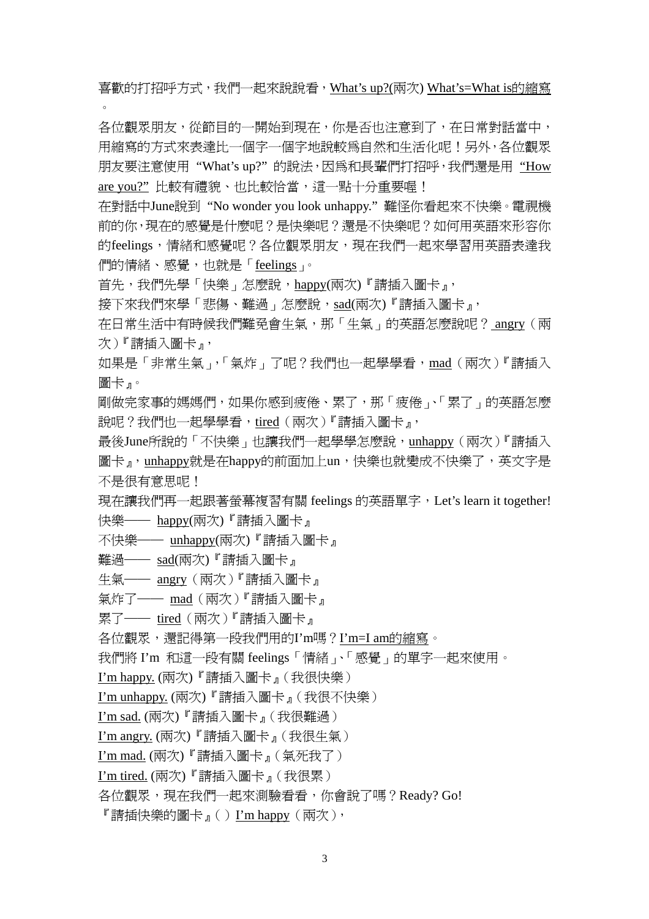喜歡的打招呼方式,我們一起來說說看,What's up?(兩次) What's=What is的縮寫

各位觀眾朋友,從節目的一開始到現在,你是否也注意到了,在日常對話當中, 用縮寫的方式來表達比一個字一個字地說較爲自然和生活化呢!另外,各位觀眾 朋友要注意使用 "What's up?" 的說法,因為和長輩們打招呼,我們還是用 "How are you?" 比較有禮貌、也比較恰當,這一點十分重要喔!

在對話中June說到 "No wonder you look unhappy." 難怪你看起來不快樂。電視機 前的你,現在的感覺是什麼呢?是快樂呢?還是不快樂呢?如何用英語來形容你 的feelings,情緒和感覺呢?各位觀眾朋友,現在我們一起來學習用英語表達我 們的情緒、感覺,也就是「feelings」。

首先,我們先學「快樂」怎麼說,happy(兩次)『請插入圖卡』,

接下來我們來學「悲傷、難過」怎麼說,sad(兩次)『請插入圖卡』,

在日常生活中有時候我們難免會生氣,那「生氣」的英語怎麼說呢? angry(兩 次)『請插入圖卡』,

如果是「非常生氣」,「氣炸」了呢?我們也一起學學看,mad(兩次)『請插入 圖卡』。

剛做完家事的媽媽們,如果你感到疲倦、累了,那「疲倦」、「累了」的英語怎麼 說呢?我們也一起學學看,tired(兩次)『請插入圖卡』,

最後June所說的「不快樂」也讓我們一起學學怎麼說, unhappy (兩次)『請插入 圖卡』,unhappy就是在happy的前面加上un,快樂也就變成不快樂了,英文字是 不是很有意思呢!

現在讓我們再一起跟著螢幕複習有關 feelings 的英語單字, Let's learn it together! 快樂── happy(兩次)『請插入圖卡』

不快樂── unhappy(兩次)『請插入圖卡』

難過── sad(兩次)『請插入圖卡』

 $\circ$ 

生氣—— angry (兩次)『請插入圖卡』

氣炸了—— mad (兩次)『請插入圖卡』

累了—— tired (兩次) 『請插入圖卡』

各位觀眾,還記得第一段我們用的I'm嗎?I'm=I am的縮寫。

我們將 I'm 和這一段有關 feelings「情緒」、「感覺」的單字一起來使用。

I'm happy. (兩次)『請插入圖卡』(我很快樂)

I'm unhappy. (兩次)『請插入圖卡』(我很不快樂)

I'm sad. (兩次)『請插入圖卡』(我很難過)

I'm angry. (兩次)『請插入圖卡』(我很生氣)

I'm mad. (兩次)『請插入圖卡』(氣死我了)

I'm tired. (兩次)『請插入圖卡』(我很累)

各位觀眾,現在我們一起來測驗看看,你會說了嗎?Ready? Go!

『請插快樂的圖卡』()I'm happy(兩次),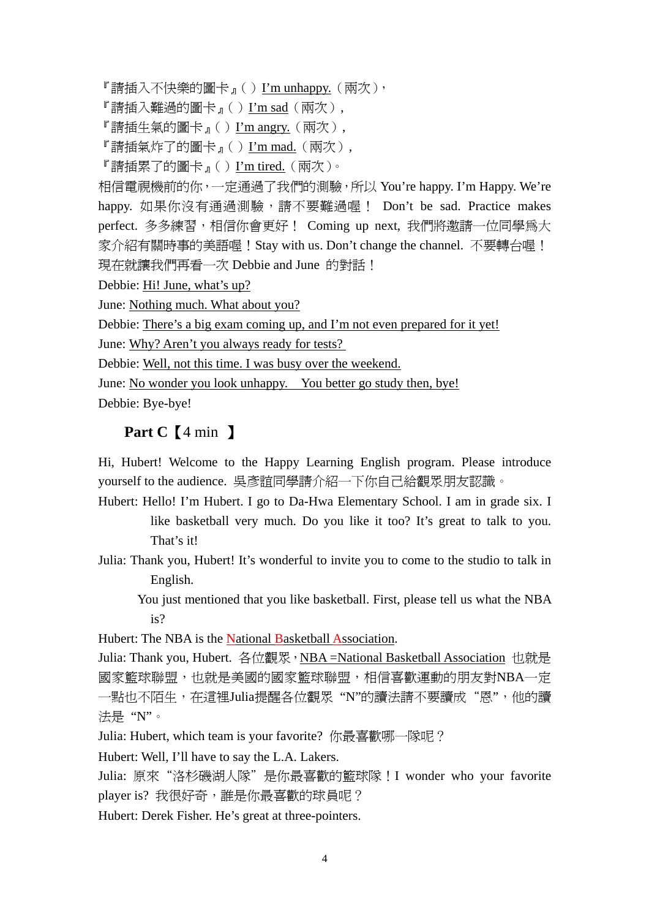『請插入不快樂的圖卡』()I'm unhappy.(兩次),

『請插入難過的圖卡』()I'm sad(兩次),

『請插生氣的圖卡』()I'm angry.(兩次),

『請插氣炸了的圖卡』()I'm mad.(兩次),

『請插累了的圖卡』()I'm tired.(兩次)。

相信電視機前的你,一定通過了我們的測驗,所以 You're happy. I'm Happy. We're happy. 如果你沒有通過測驗,請不要難過喔! Don't be sad. Practice makes perfect. 多多練習,相信你會更好! Coming up next, 我們將邀請一位同學為大 家介紹有關時事的美語喔!Stay with us. Don't change the channel. 不要轉台喔! 現在就讓我們再看一次 Debbie and June 的對話!

Debbie: Hi! June, what's up?

June: Nothing much. What about you?

Debbie: There's a big exam coming up, and I'm not even prepared for it yet!

June: Why? Aren't you always ready for tests?

Debbie: Well, not this time. I was busy over the weekend.

June: No wonder you look unhappy. You better go study then, bye!

Debbie: Bye-bye!

#### **Part C**【4 min 】

Hi, Hubert! Welcome to the Happy Learning English program. Please introduce yourself to the audience. 吳彥誼同學請介紹一下你自己給觀眾朋友認識。

Hubert: Hello! I'm Hubert. I go to Da-Hwa Elementary School. I am in grade six. I like basketball very much. Do you like it too? It's great to talk to you. That's it!

Julia: Thank you, Hubert! It's wonderful to invite you to come to the studio to talk in English.

 You just mentioned that you like basketball. First, please tell us what the NBA is?

Hubert: The NBA is the National Basketball Association.

Julia: Thank you, Hubert. 各位觀眾, NBA =National Basketball Association 也就是 國家籃球聯盟,也就是美國的國家籃球聯盟,相信喜歡運動的朋友對NBA一定 一點也不陌生,在這裡Julia提醒各位觀眾"N"的讀法請不要讀成"恩",他的讀 法是 "N"。

Julia: Hubert, which team is your favorite? 你最喜歡哪一隊呢?

Hubert: Well, I'll have to say the L.A. Lakers.

Julia: 原來"洛杉磯湖人隊"是你最喜歡的籃球隊! I wonder who your favorite player is? 我很好奇,誰是你最喜歡的球員呢?

Hubert: Derek Fisher. He's great at three-pointers.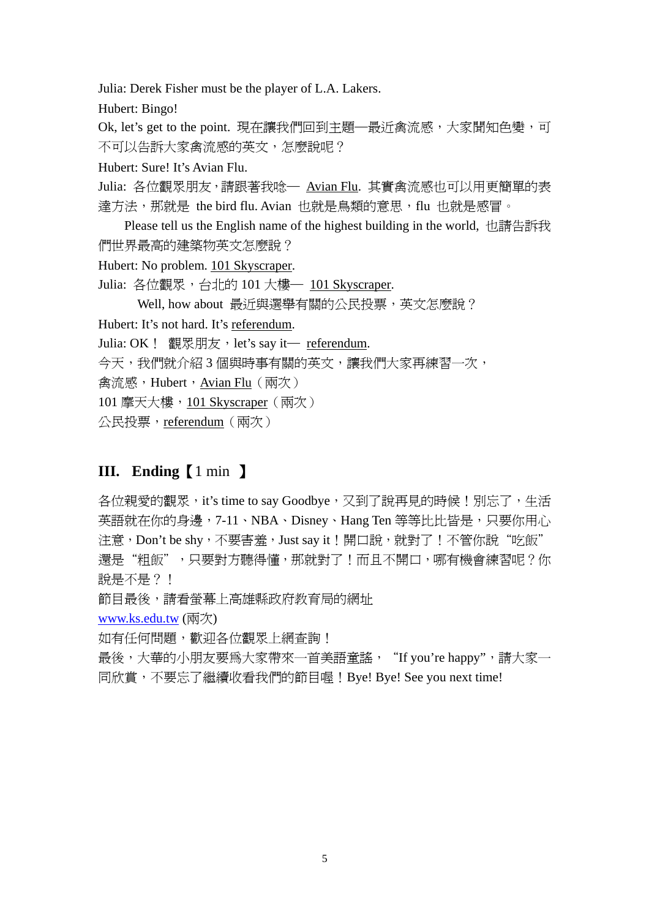Julia: Derek Fisher must be the player of L.A. Lakers.

Hubert: Bingo!

Ok, let's get to the point. 現在讓我們回到主題—最近禽流感,大家聞知色變,可 不可以告訴大家禽流感的英文,怎麼說呢?

Hubert: Sure! It's Avian Flu.

Julia: 各位觀眾朋友,請跟著我唸— Avian Flu. 其實禽流感也可以用更簡單的表 達方法,那就是 the bird flu. Avian 也就是鳥類的意思,flu 也就是感冒。

Please tell us the English name of the highest building in the world, 也請告訴我 們世界最高的建築物英文怎麼說?

Hubert: No problem. 101 Skyscraper.

Julia: 各位觀眾, 台北的 101 大樓 - 101 Skyscraper.

Well, how about 最近與選舉有關的公民投票,英文怎麼說?

Hubert: It's not hard. It's referendum.

Julia: OK ! 觀眾朋友, let's say it- referendum.

今天,我們就介紹 3 個與時事有關的英文,讓我們大家再練習一次,

禽流感,Hubert,Avian Flu (兩次)

101 摩天大樓, 101 Skyscraper (兩次)

公民投票,referendum(兩次)

## **III. Ending**【1 min 】

各位親愛的觀眾, it's time to say Goodbye, 又到了說再見的時候!別忘了,生活 英語就在你的身邊,7-11、NBA、Disney、Hang Ten 等等比比皆是,只要你用心 注意,Don't be shy,不要害羞,Just say it!開口說,就對了!不管你說"吃飯" 還是"粗飯",只要對方聽得懂,那就對了!而且不開口,哪有機會練習呢?你 說是不是 ? !

節目最後,請看螢幕上高雄縣政府教育局的網址

[www.ks.edu.tw](http://www.ks.edu.tw/) (兩次)

如有任何問題,歡迎各位觀眾上網查詢!

最後,大華的小朋友要為大家帶來一首美語童謠, "If you're happy",請大家一 同欣賞,不要忘了繼續收看我們的節目喔!Bye! Bye! See you next time!